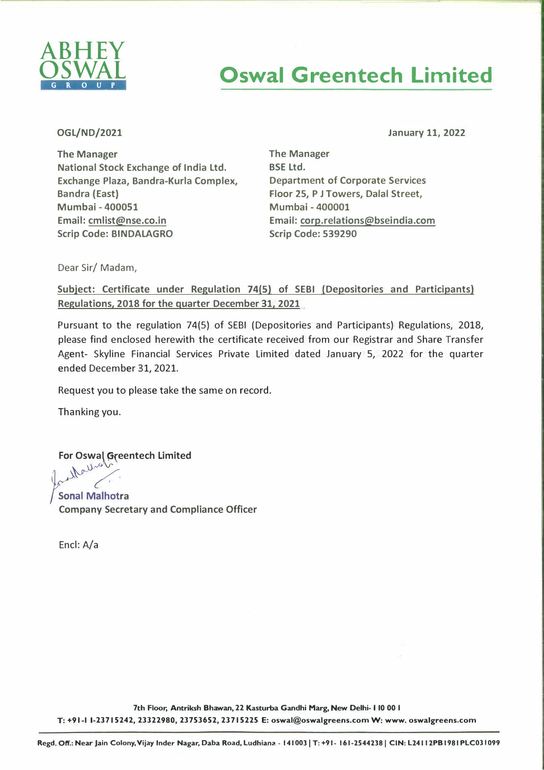

## **Oswal Greentech Limited**

**OGL/ND/2021** 

**January 11, 2022** 

**The Manager National Stock Exchange of India Ltd. Exchange Plaza, Bandra-Kurla Complex, Bandra (East) Mumbai - 400051 Email: cmlist@nse.co.in Scrip Code: BINDALAGRO** 

**The Manager**  BSE Ltd. Department of Corporate Services Floor 25, P J Towers, Dalal Street, Mumbai - 400001 Email: corp.relations@bseindia.com Scrip Code: 539290

Dear Sir/ Madam,

**Subject: Certificate under Regulation 74(5) of SEBI (Depositories and Participants) Regulations, 2018 for the quarter December 31, 2021** 

Pursuant to the regulation 74(5) of SEBI (Depositories and Participants) Regulations, 2018, please find enclosed herewith the certificate received from our Registrar and Share Transfer Agent- Skyline Financial Services Private Limited dated January 5, 2022 for the quarter ended December 31, 2021.

Request you to please take the same on record.

Thanking you.

**For Oswal Greentech Limited** 

**Sonal Malhotra Company Secretary and Compliance Officer** 

Encl: A/a